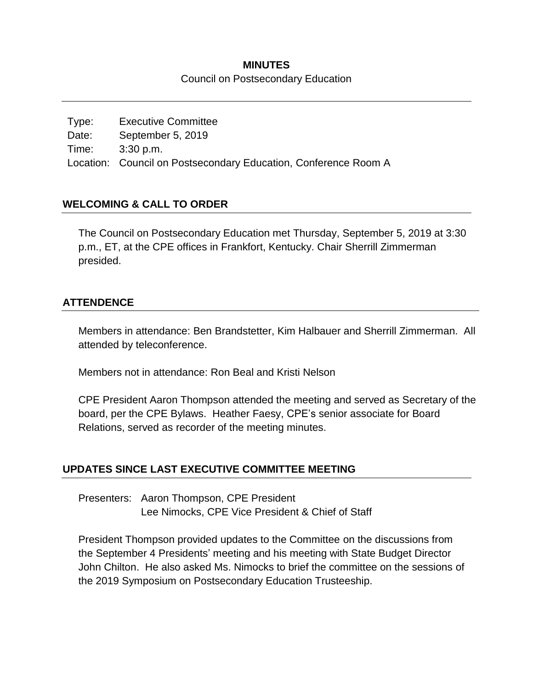# **MINUTES**

#### Council on Postsecondary Education

Type: Executive Committee Date: September 5, 2019 Time: 3:30 p.m. Location: Council on Postsecondary Education, Conference Room A

# **WELCOMING & CALL TO ORDER**

The Council on Postsecondary Education met Thursday, September 5, 2019 at 3:30 p.m., ET, at the CPE offices in Frankfort, Kentucky. Chair Sherrill Zimmerman presided.

### **ATTENDENCE**

Members in attendance: Ben Brandstetter, Kim Halbauer and Sherrill Zimmerman. All attended by teleconference.

Members not in attendance: Ron Beal and Kristi Nelson

CPE President Aaron Thompson attended the meeting and served as Secretary of the board, per the CPE Bylaws. Heather Faesy, CPE's senior associate for Board Relations, served as recorder of the meeting minutes.

#### **UPDATES SINCE LAST EXECUTIVE COMMITTEE MEETING**

Presenters: Aaron Thompson, CPE President Lee Nimocks, CPE Vice President & Chief of Staff

President Thompson provided updates to the Committee on the discussions from the September 4 Presidents' meeting and his meeting with State Budget Director John Chilton. He also asked Ms. Nimocks to brief the committee on the sessions of the 2019 Symposium on Postsecondary Education Trusteeship.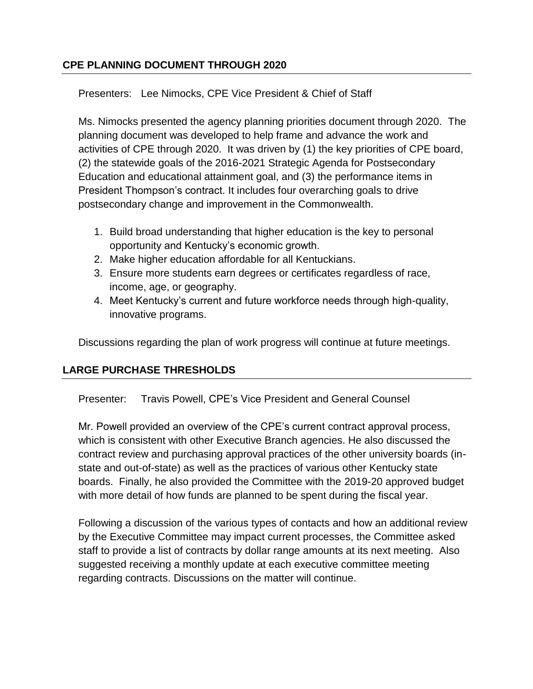# **CPE PLANNING DOCUMENT THROUGH 2020**

Presenters: Lee Nimocks, CPE Vice President & Chief of Staff

Ms. Nimocks presented the agency planning priorities document through 2020. The planning document was developed to help frame and advance the work and activities of CPE through 2020. It was driven by (1) the key priorities of CPE board, (2) the statewide goals of the 2016-2021 Strategic Agenda for Postsecondary Education and educational attainment goal, and (3) the performance items in President Thompson's contract. It includes four overarching goals to drive postsecondary change and improvement in the Commonwealth.

- 1. Build broad understanding that higher education is the key to personal opportunity and Kentucky's economic growth.
- 2. Make higher education affordable for all Kentuckians.
- 3. Ensure more students earn degrees or certificates regardless of race, income, age, or geography.
- 4. Meet Kentucky's current and future workforce needs through high-quality, innovative programs.

Discussions regarding the plan of work progress will continue at future meetings.

# **LARGE PURCHASE THRESHOLDS**

Presenter: Travis Powell, CPE's Vice President and General Counsel

Mr. Powell provided an overview of the CPE's current contract approval process, which is consistent with other Executive Branch agencies. He also discussed the contract review and purchasing approval practices of the other university boards (instate and out-of-state) as well as the practices of various other Kentucky state boards. Finally, he also provided the Committee with the 2019-20 approved budget with more detail of how funds are planned to be spent during the fiscal year.

Following a discussion of the various types of contacts and how an additional review by the Executive Committee may impact current processes, the Committee asked staff to provide a list of contracts by dollar range amounts at its next meeting. Also suggested receiving a monthly update at each executive committee meeting regarding contracts. Discussions on the matter will continue.